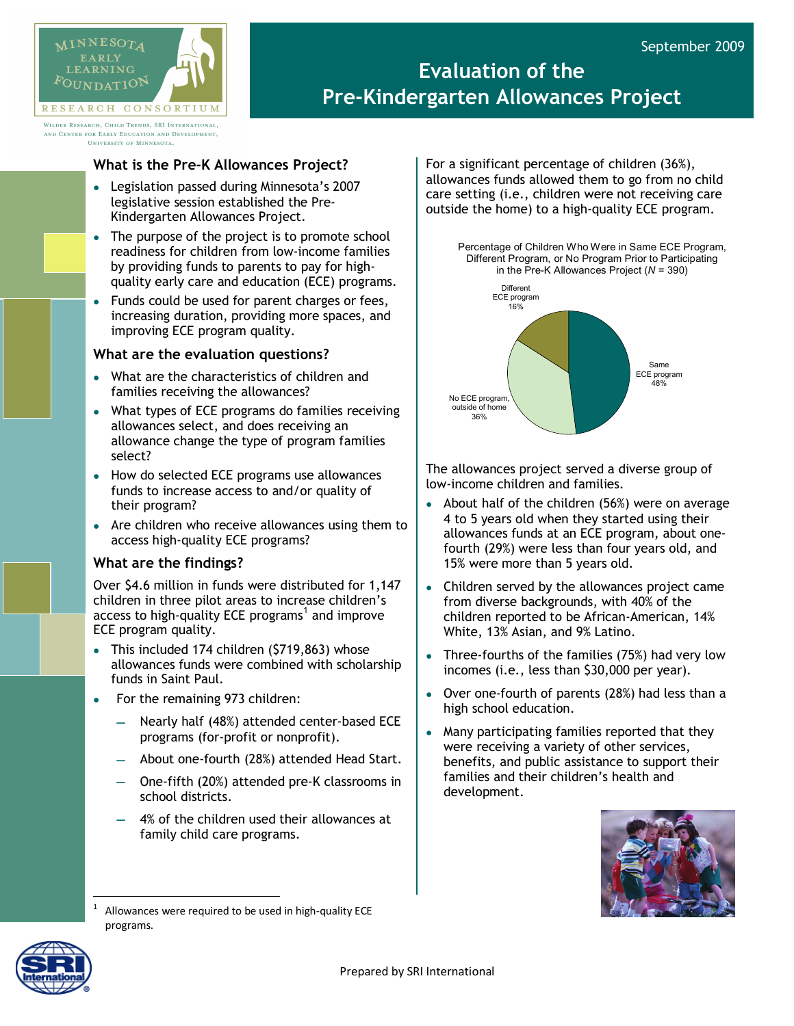

# **Evaluation of the Pre-Kindergarten Allowances Project**

WILDER RESEARCH, CHILD TRENDS, SRI INTERNATIONAL, AND CENTER FOR EARLY EDUCATION AND DEVELOPMENT. **HNIVERSITY OF MINNESOTA** 

## **What is the Pre-K Allowances Project?**

- Legislation passed during Minnesota's 2007 legislative session established the Pre-Kindergarten Allowances Project.
- The purpose of the project is to promote school readiness for children from low-income families by providing funds to parents to pay for highquality early care and education (ECE) programs.
- Funds could be used for parent charges or fees, increasing duration, providing more spaces, and improving ECE program quality.

### **What are the evaluation questions?**

- What are the characteristics of children and families receiving the allowances?
- What types of ECE programs do families receiving allowances select, and does receiving an allowance change the type of program families select?
- How do selected ECE programs use allowances funds to increase access to and/or quality of their program?
- Are children who receive allowances using them to access high-quality ECE programs?

### **What are the findings?**

Over \$4.6 million in funds were distributed for 1,147 children in three pilot areas to increase children's access to high-quality ECE programs $^1$  $^1$  and improve ECE program quality.

- This included 174 children (\$719,863) whose allowances funds were combined with scholarship funds in Saint Paul.
- For the remaining 973 children:
	- Nearly half (48%) attended center-based ECE programs (for-profit or nonprofit).
	- About one-fourth (28%) attended Head Start.
	- One-fifth (20%) attended pre-K classrooms in school districts.
	- 4% of the children used their allowances at family child care programs.

For a significant percentage of children (36%), allowances funds allowed them to go from no child care setting (i.e., children were not receiving care outside the home) to a high-quality ECE program.

Percentage of Children Who Were in Same ECE Program,



The allowances project served a diverse group of low-income children and families.

- About half of the children (56%) were on average 4 to 5 years old when they started using their allowances funds at an ECE program, about onefourth (29%) were less than four years old, and 15% were more than 5 years old.
- Children served by the allowances project came from diverse backgrounds, with 40% of the children reported to be African-American, 14% White, 13% Asian, and 9% Latino.
- Three-fourths of the families (75%) had very low incomes (i.e., less than \$30,000 per year).
- Over one-fourth of parents (28%) had less than a high school education.
- Many participating families reported that they were receiving a variety of other services, benefits, and public assistance to support their families and their children's health and development.



<span id="page-0-0"></span>

Allowances were required to be used in high-quality ECE programs.